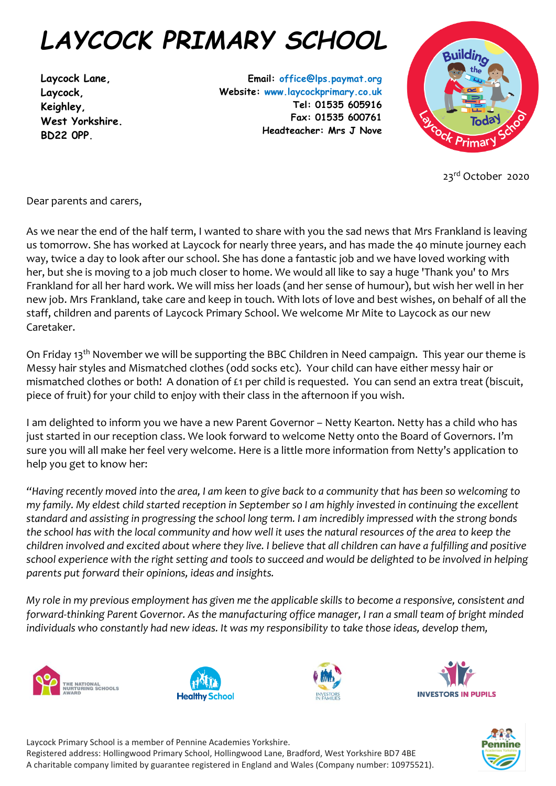## *LAYCOCK PRIMARY SCHOOL*

**Laycock Lane, Laycock, Keighley, West Yorkshire. BD22 0PP.**

**Email: office@lps.paymat.org Website: www.laycockprimary.co.uk Tel: 01535 605916 Fax: 01535 600761 Headteacher: Mrs J Nove**



23rd October 2020

Dear parents and carers,

As we near the end of the half term, I wanted to share with you the sad news that Mrs Frankland is leaving us tomorrow. She has worked at Laycock for nearly three years, and has made the 40 minute journey each way, twice a day to look after our school. She has done a fantastic job and we have loved working with her, but she is moving to a job much closer to home. We would all like to say a huge 'Thank you' to Mrs Frankland for all her hard work. We will miss her loads (and her sense of humour), but wish her well in her new job. Mrs Frankland, take care and keep in touch. With lots of love and best wishes, on behalf of all the staff, children and parents of Laycock Primary School. We welcome Mr Mite to Laycock as our new Caretaker.

On Friday 13<sup>th</sup> November we will be supporting the BBC Children in Need campaign. This year our theme is Messy hair styles and Mismatched clothes (odd socks etc). Your child can have either messy hair or mismatched clothes or both! A donation of £1 per child is requested. You can send an extra treat (biscuit, piece of fruit) for your child to enjoy with their class in the afternoon if you wish.

I am delighted to inform you we have a new Parent Governor – Netty Kearton. Netty has a child who has just started in our reception class. We look forward to welcome Netty onto the Board of Governors. I'm sure you will all make her feel very welcome. Here is a little more information from Netty's application to help you get to know her:

*"Having recently moved into the area, I am keen to give back to a community that has been so welcoming to my family. My eldest child started reception in September so I am highly invested in continuing the excellent standard and assisting in progressing the school long term. I am incredibly impressed with the strong bonds the school has with the local community and how well it uses the natural resources of the area to keep the children involved and excited about where they live. I believe that all children can have a fulfilling and positive school experience with the right setting and tools to succeed and would be delighted to be involved in helping parents put forward their opinions, ideas and insights.*

*My role in my previous employment has given me the applicable skills to become a responsive, consistent and forward-thinking Parent Governor. As the manufacturing office manager, I ran a small team of bright minded individuals who constantly had new ideas. It was my responsibility to take those ideas, develop them,*











Laycock Primary School is a member of Pennine Academies Yorkshire. Registered address: Hollingwood Primary School, Hollingwood Lane, Bradford, West Yorkshire BD7 4BE A charitable company limited by guarantee registered in England and Wales (Company number: 10975521).